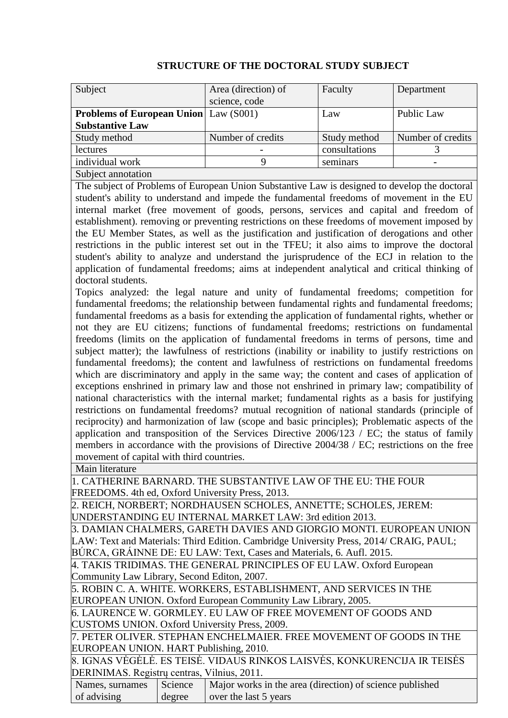| Subject                                      | Area (direction) of | Faculty       | Department        |
|----------------------------------------------|---------------------|---------------|-------------------|
|                                              | science, code       |               |                   |
| <b>Problems of European Union</b> Law (S001) |                     | Law           | Public Law        |
| <b>Substantive Law</b>                       |                     |               |                   |
| Study method                                 | Number of credits   | Study method  | Number of credits |
| lectures                                     |                     | consultations |                   |
| individual work                              |                     | seminars      |                   |
| Subject annotation                           |                     |               |                   |

## **STRUCTURE OF THE DOCTORAL STUDY SUBJECT**

The subject of Problems of European Union Substantive Law is designed to develop the doctoral student's ability to understand and impede the fundamental freedoms of movement in the EU internal market (free movement of goods, persons, services and capital and freedom of establishment). removing or preventing restrictions on these freedoms of movement imposed by the EU Member States, as well as the justification and justification of derogations and other restrictions in the public interest set out in the TFEU; it also aims to improve the doctoral student's ability to analyze and understand the jurisprudence of the ECJ in relation to the application of fundamental freedoms; aims at independent analytical and critical thinking of doctoral students.

Topics analyzed: the legal nature and unity of fundamental freedoms; competition for fundamental freedoms; the relationship between fundamental rights and fundamental freedoms; fundamental freedoms as a basis for extending the application of fundamental rights, whether or not they are EU citizens; functions of fundamental freedoms; restrictions on fundamental freedoms (limits on the application of fundamental freedoms in terms of persons, time and subject matter); the lawfulness of restrictions (inability or inability to justify restrictions on fundamental freedoms); the content and lawfulness of restrictions on fundamental freedoms which are discriminatory and apply in the same way; the content and cases of application of exceptions enshrined in primary law and those not enshrined in primary law; compatibility of national characteristics with the internal market; fundamental rights as a basis for justifying restrictions on fundamental freedoms? mutual recognition of national standards (principle of reciprocity) and harmonization of law (scope and basic principles); Problematic aspects of the application and transposition of the Services Directive 2006/123 / EC; the status of family members in accordance with the provisions of Directive 2004/38 / EC; restrictions on the free movement of capital with third countries.

Main literature

1. CATHERINE BARNARD. THE SUBSTANTIVE LAW OF THE EU: THE FOUR FREEDOMS. 4th ed, Oxford University Press, 2013.

2. REICH, NORBERT; NORDHAUSEN SCHOLES, ANNETTE; SCHOLES, JEREM: UNDERSTANDING EU INTERNAL MARKET LAW: 3rd edition 2013.

3. DAMIAN CHALMERS, GARETH DAVIES AND GIORGIO MONTI. EUROPEAN UNION LAW: Text and Materials: Third Edition. Cambridge University Press, 2014/ CRAIG, PAUL; BÚRCA, GRÁINNE DE: EU LAW: Text, Cases and Materials, 6. Aufl. 2015.

4. TAKIS TRIDIMAS. THE GENERAL PRINCIPLES OF EU LAW. Oxford European Community Law Library, Second Editon, 2007.

5. ROBIN C. A. WHITE. WORKERS, ESTABLISHMENT, AND SERVICES IN THE EUROPEAN UNION. Oxford European Community Law Library, 2005.

6. LAURENCE W. GORMLEY. EU LAW OF FREE MOVEMENT OF GOODS AND CUSTOMS UNION. Oxford University Press, 2009.

7. PETER OLIVER. STEPHAN ENCHELMAIER. FREE MOVEMENT OF GOODS IN THE EUROPEAN UNION. HART Publishing, 2010.

8. IGNAS VĖGĖLĖ. ES TEISĖ. VIDAUS RINKOS LAISVĖS, KONKURENCIJA IR TEISĖS DERINIMAS. Registrų centras, Vilnius, 2011.

| Names, surnames Science |        | Major works in the area (direction) of science published |
|-------------------------|--------|----------------------------------------------------------|
| of advising             | degree | over the last 5 years                                    |